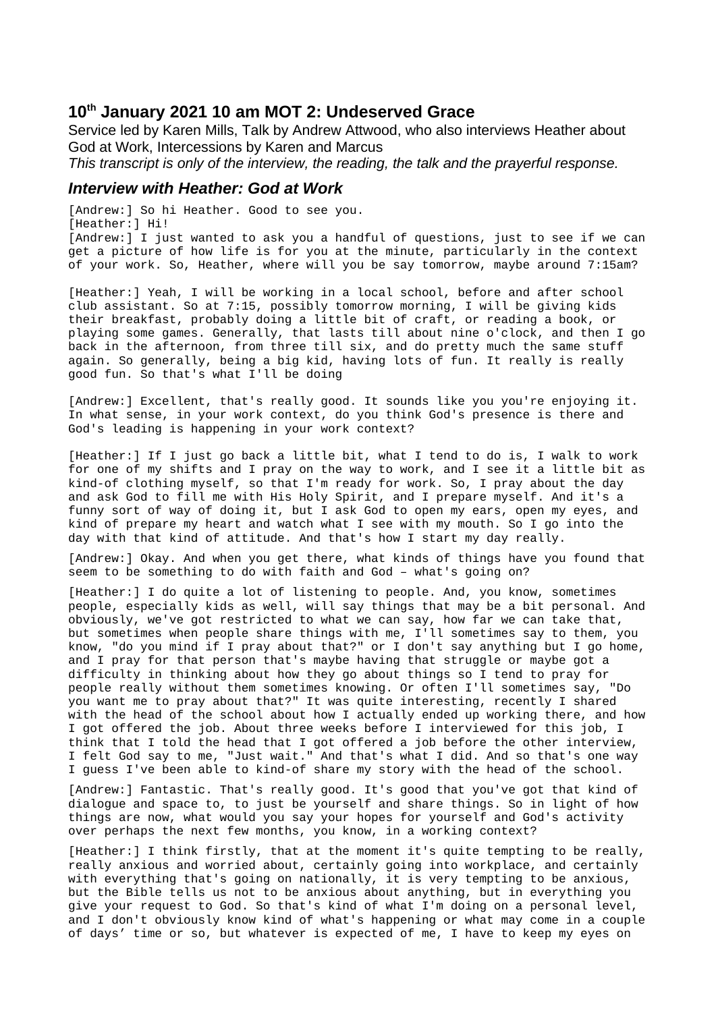# **10th January 2021 10 am MOT 2: Undeserved Grace**

Service led by Karen Mills, Talk by Andrew Attwood, who also interviews Heather about God at Work, Intercessions by Karen and Marcus

*This transcript is only of the interview, the reading, the talk and the prayerful response.*

### *Interview with Heather: God at Work*

[Andrew:] So hi Heather. Good to see you. [Heather:] Hi! [Andrew:] I just wanted to ask you a handful of questions, just to see if we can get a picture of how life is for you at the minute, particularly in the context of your work. So, Heather, where will you be say tomorrow, maybe around 7:15am?

[Heather:] Yeah, I will be working in a local school, before and after school club assistant. So at 7:15, possibly tomorrow morning, I will be giving kids their breakfast, probably doing a little bit of craft, or reading a book, or playing some games. Generally, that lasts till about nine o'clock, and then I go back in the afternoon, from three till six, and do pretty much the same stuff again. So generally, being a big kid, having lots of fun. It really is really good fun. So that's what I'll be doing

[Andrew:] Excellent, that's really good. It sounds like you you're enjoying it. In what sense, in your work context, do you think God's presence is there and God's leading is happening in your work context?

[Heather:] If I just go back a little bit, what I tend to do is, I walk to work for one of my shifts and I pray on the way to work, and I see it a little bit as kind-of clothing myself, so that I'm ready for work. So, I pray about the day and ask God to fill me with His Holy Spirit, and I prepare myself. And it's a funny sort of way of doing it, but I ask God to open my ears, open my eyes, and kind of prepare my heart and watch what I see with my mouth. So I go into the day with that kind of attitude. And that's how I start my day really.

[Andrew:] Okay. And when you get there, what kinds of things have you found that seem to be something to do with faith and God – what's going on?

[Heather:] I do quite a lot of listening to people. And, you know, sometimes people, especially kids as well, will say things that may be a bit personal. And obviously, we've got restricted to what we can say, how far we can take that, but sometimes when people share things with me, I'll sometimes say to them, you know, "do you mind if I pray about that?" or I don't say anything but I go home, and I pray for that person that's maybe having that struggle or maybe got a difficulty in thinking about how they go about things so I tend to pray for people really without them sometimes knowing. Or often I'll sometimes say, "Do you want me to pray about that?" It was quite interesting, recently I shared with the head of the school about how I actually ended up working there, and how I got offered the job. About three weeks before I interviewed for this job, I think that I told the head that I got offered a job before the other interview, I felt God say to me, "Just wait." And that's what I did. And so that's one way I guess I've been able to kind-of share my story with the head of the school.

[Andrew:] Fantastic. That's really good. It's good that you've got that kind of dialogue and space to, to just be yourself and share things. So in light of how things are now, what would you say your hopes for yourself and God's activity over perhaps the next few months, you know, in a working context?

[Heather:] I think firstly, that at the moment it's quite tempting to be really, really anxious and worried about, certainly going into workplace, and certainly with everything that's going on nationally, it is very tempting to be anxious, but the Bible tells us not to be anxious about anything, but in everything you give your request to God. So that's kind of what I'm doing on a personal level, and I don't obviously know kind of what's happening or what may come in a couple of days' time or so, but whatever is expected of me, I have to keep my eyes on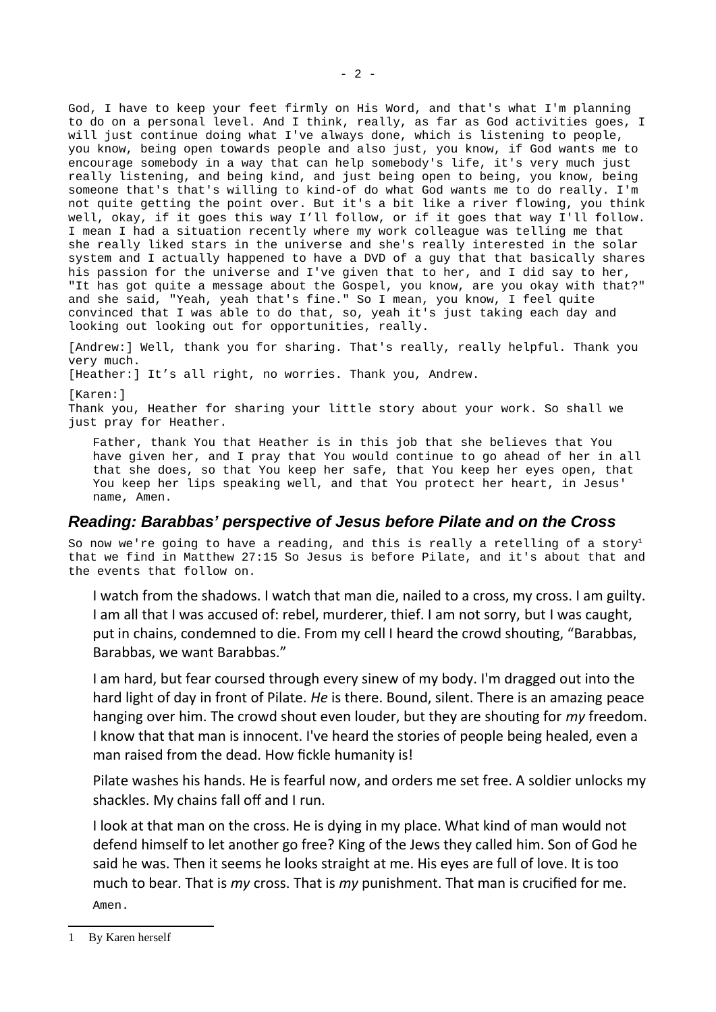God, I have to keep your feet firmly on His Word, and that's what I'm planning to do on a personal level. And I think, really, as far as God activities goes, I will just continue doing what I've always done, which is listening to people, you know, being open towards people and also just, you know, if God wants me to encourage somebody in a way that can help somebody's life, it's very much just really listening, and being kind, and just being open to being, you know, being someone that's that's willing to kind-of do what God wants me to do really. I'm not quite getting the point over. But it's a bit like a river flowing, you think well, okay, if it goes this way I'll follow, or if it goes that way I'll follow. I mean I had a situation recently where my work colleague was telling me that she really liked stars in the universe and she's really interested in the solar system and I actually happened to have a DVD of a guy that that basically shares his passion for the universe and I've given that to her, and I did say to her, "It has got quite a message about the Gospel, you know, are you okay with that?" and she said, "Yeah, yeah that's fine." So I mean, you know, I feel quite convinced that I was able to do that, so, yeah it's just taking each day and looking out looking out for opportunities, really.

[Andrew:] Well, thank you for sharing. That's really, really helpful. Thank you very much.

[Heather:] It's all right, no worries. Thank you, Andrew.

[Karen: 1

Thank you, Heather for sharing your little story about your work. So shall we just pray for Heather.

Father, thank You that Heather is in this job that she believes that You have given her, and I pray that You would continue to go ahead of her in all that she does, so that You keep her safe, that You keep her eyes open, that You keep her lips speaking well, and that You protect her heart, in Jesus' name, Amen.

# *Reading: Barabbas' perspective of Jesus before Pilate and on the Cross*

So now we're going to have a reading, and this is really a retelling of a story<sup>[1](#page-1-0)</sup> that we find in Matthew 27:15 So Jesus is before Pilate, and it's about that and the events that follow on.

I watch from the shadows. I watch that man die, nailed to a cross, my cross. I am guilty. I am all that I was accused of: rebel, murderer, thief. I am not sorry, but I was caught, put in chains, condemned to die. From my cell I heard the crowd shouting, "Barabbas, Barabbas, we want Barabbas."

I am hard, but fear coursed through every sinew of my body. I'm dragged out into the hard light of day in front of Pilate. *He* is there. Bound, silent. There is an amazing peace hanging over him. The crowd shout even louder, but they are shouting for *my* freedom. I know that that man is innocent. I've heard the stories of people being healed, even a man raised from the dead. How fickle humanity is!

Pilate washes his hands. He is fearful now, and orders me set free. A soldier unlocks my shackles. My chains fall off and I run.

I look at that man on the cross. He is dying in my place. What kind of man would not defend himself to let another go free? King of the Jews they called him. Son of God he said he was. Then it seems he looks straight at me. His eyes are full of love. It is too much to bear. That is *my* cross. That is *my* punishment. That man is crucified for me. Amen.

<span id="page-1-0"></span><sup>1</sup> By Karen herself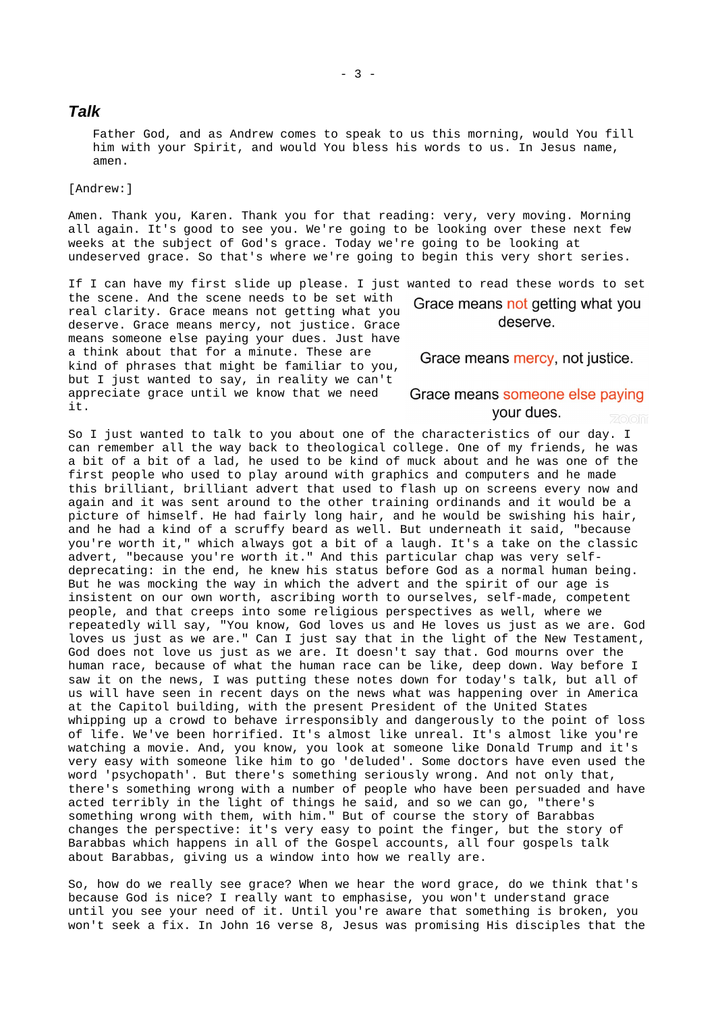#### *Talk*

Father God, and as Andrew comes to speak to us this morning, would You fill him with your Spirit, and would You bless his words to us. In Jesus name, amen.

[Andrew:]

Amen. Thank you, Karen. Thank you for that reading: very, very moving. Morning all again. It's good to see you. We're going to be looking over these next few weeks at the subject of God's grace. Today we're going to be looking at undeserved grace. So that's where we're going to begin this very short series.

If I can have my first slide up please. I just wanted to read these words to set the scene. And the scene needs to be set with Grace means not getting what you real clarity. Grace means not getting what you deserve. deserve. Grace means mercy, not justice. Grace means someone else paying your dues. Just have a think about that for a minute. These are Grace means mercy, not justice. kind of phrases that might be familiar to you, but I just wanted to say, in reality we can't appreciate grace until we know that we need Grace means someone else paying it.

your dues.

So I just wanted to talk to you about one of the characteristics of our day. I can remember all the way back to theological college. One of my friends, he was a bit of a bit of a lad, he used to be kind of muck about and he was one of the first people who used to play around with graphics and computers and he made this brilliant, brilliant advert that used to flash up on screens every now and again and it was sent around to the other training ordinands and it would be a picture of himself. He had fairly long hair, and he would be swishing his hair, and he had a kind of a scruffy beard as well. But underneath it said, "because you're worth it," which always got a bit of a laugh. It's a take on the classic advert, "because you're worth it." And this particular chap was very selfdeprecating: in the end, he knew his status before God as a normal human being. But he was mocking the way in which the advert and the spirit of our age is insistent on our own worth, ascribing worth to ourselves, self-made, competent people, and that creeps into some religious perspectives as well, where we repeatedly will say, "You know, God loves us and He loves us just as we are. God loves us just as we are." Can I just say that in the light of the New Testament, God does not love us just as we are. It doesn't say that. God mourns over the human race, because of what the human race can be like, deep down. Way before I saw it on the news, I was putting these notes down for today's talk, but all of us will have seen in recent days on the news what was happening over in America at the Capitol building, with the present President of the United States whipping up a crowd to behave irresponsibly and dangerously to the point of loss of life. We've been horrified. It's almost like unreal. It's almost like you're watching a movie. And, you know, you look at someone like Donald Trump and it's very easy with someone like him to go 'deluded'. Some doctors have even used the word 'psychopath'. But there's something seriously wrong. And not only that, there's something wrong with a number of people who have been persuaded and have acted terribly in the light of things he said, and so we can go, "there's something wrong with them, with him." But of course the story of Barabbas changes the perspective: it's very easy to point the finger, but the story of Barabbas which happens in all of the Gospel accounts, all four gospels talk about Barabbas, giving us a window into how we really are.

So, how do we really see grace? When we hear the word grace, do we think that's because God is nice? I really want to emphasise, you won't understand grace until you see your need of it. Until you're aware that something is broken, you won't seek a fix. In John 16 verse 8, Jesus was promising His disciples that the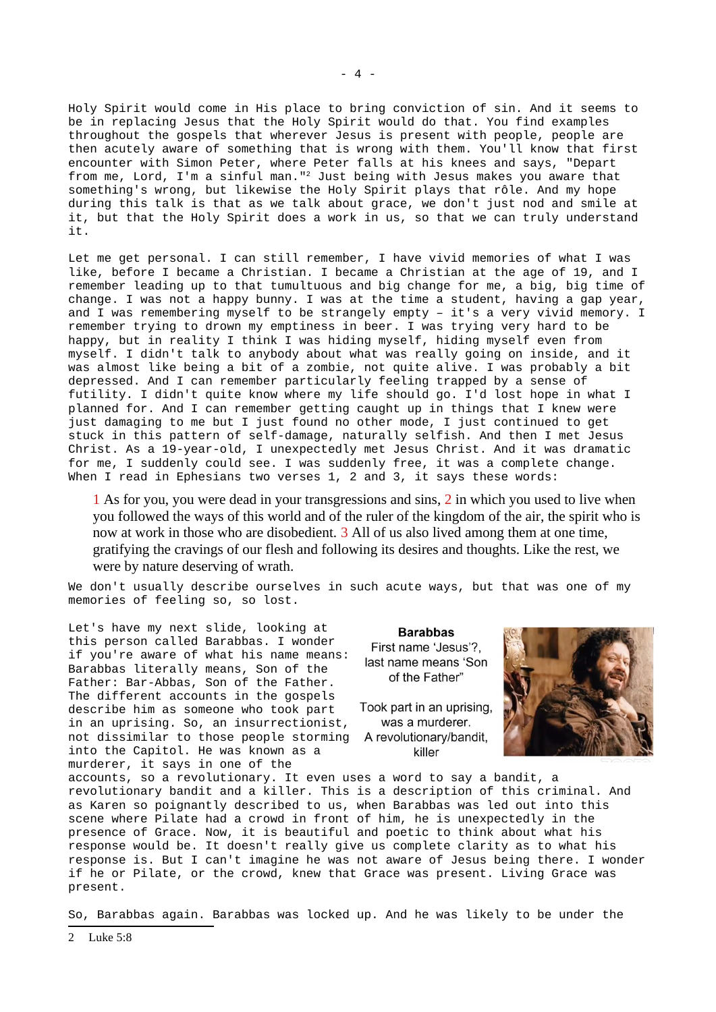Holy Spirit would come in His place to bring conviction of sin. And it seems to be in replacing Jesus that the Holy Spirit would do that. You find examples throughout the gospels that wherever Jesus is present with people, people are then acutely aware of something that is wrong with them. You'll know that first encounter with Simon Peter, where Peter falls at his knees and says, "Depart from me, Lord, I'm a sinful man."[2](#page-3-0) Just being with Jesus makes you aware that something's wrong, but likewise the Holy Spirit plays that rôle. And my hope during this talk is that as we talk about grace, we don't just nod and smile at it, but that the Holy Spirit does a work in us, so that we can truly understand it.

Let me get personal. I can still remember, I have vivid memories of what I was like, before I became a Christian. I became a Christian at the age of 19, and I remember leading up to that tumultuous and big change for me, a big, big time of change. I was not a happy bunny. I was at the time a student, having a gap year, and I was remembering myself to be strangely empty – it's a very vivid memory. I remember trying to drown my emptiness in beer. I was trying very hard to be happy, but in reality I think I was hiding myself, hiding myself even from myself. I didn't talk to anybody about what was really going on inside, and it was almost like being a bit of a zombie, not quite alive. I was probably a bit depressed. And I can remember particularly feeling trapped by a sense of futility. I didn't quite know where my life should go. I'd lost hope in what I planned for. And I can remember getting caught up in things that I knew were just damaging to me but I just found no other mode, I just continued to get stuck in this pattern of self-damage, naturally selfish. And then I met Jesus Christ. As a 19-year-old, I unexpectedly met Jesus Christ. And it was dramatic for me, I suddenly could see. I was suddenly free, it was a complete change. When I read in Ephesians two verses 1, 2 and 3, it says these words:

1 As for you, you were dead in your transgressions and sins, 2 in which you used to live when you followed the ways of this world and of the ruler of the kingdom of the air, the spirit who is now at work in those who are disobedient. 3 All of us also lived among them at one time, gratifying the cravings of our flesh and following its desires and thoughts. Like the rest, we were by nature deserving of wrath.

We don't usually describe ourselves in such acute ways, but that was one of my memories of feeling so, so lost.

Let's have my next slide, looking at this person called Barabbas. I wonder if you're aware of what his name means: Barabbas literally means, Son of the Father: Bar-Abbas, Son of the Father. The different accounts in the gospels describe him as someone who took part in an uprising. So, an insurrectionist, not dissimilar to those people storming into the Capitol. He was known as a murderer, it says in one of the

**Barabbas** First name 'Jesus'?, last name means 'Son of the Father"

Took part in an uprising. was a murderer. A revolutionary/bandit, killer



accounts, so a revolutionary. It even uses a word to say a bandit, a revolutionary bandit and a killer. This is a description of this criminal. And as Karen so poignantly described to us, when Barabbas was led out into this scene where Pilate had a crowd in front of him, he is unexpectedly in the presence of Grace. Now, it is beautiful and poetic to think about what his response would be. It doesn't really give us complete clarity as to what his response is. But I can't imagine he was not aware of Jesus being there. I wonder if he or Pilate, or the crowd, knew that Grace was present. Living Grace was present.

So, Barabbas again. Barabbas was locked up. And he was likely to be under the

<span id="page-3-0"></span>2 Luke 5:8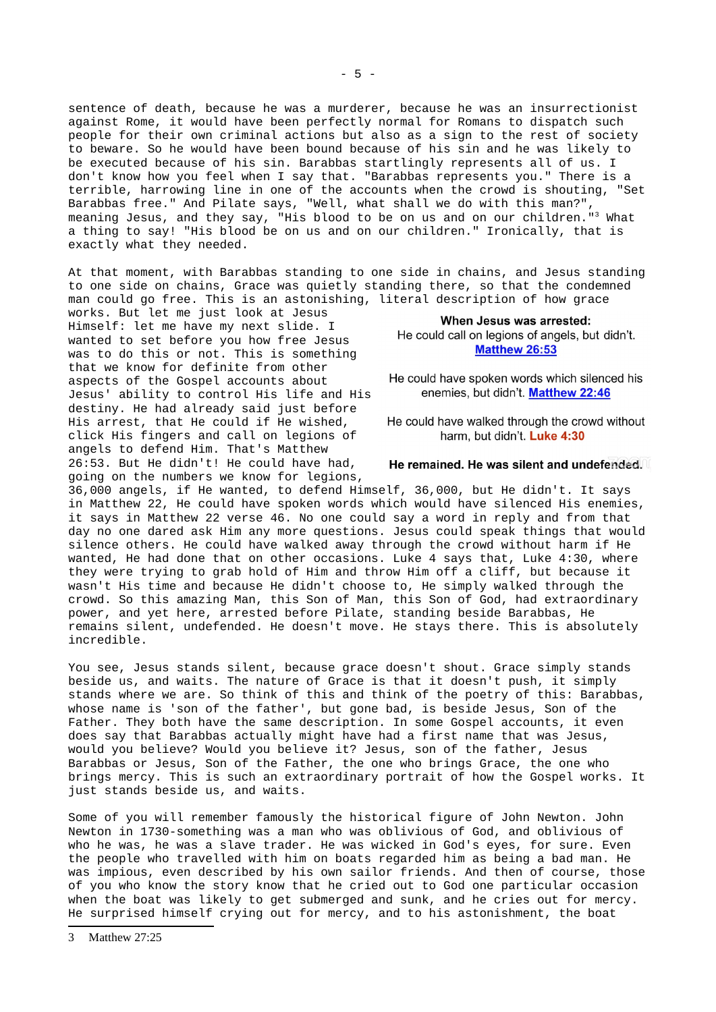sentence of death, because he was a murderer, because he was an insurrectionist against Rome, it would have been perfectly normal for Romans to dispatch such people for their own criminal actions but also as a sign to the rest of society to beware. So he would have been bound because of his sin and he was likely to be executed because of his sin. Barabbas startlingly represents all of us. I don't know how you feel when I say that. "Barabbas represents you." There is a terrible, harrowing line in one of the accounts when the crowd is shouting, "Set Barabbas free." And Pilate says, "Well, what shall we do with this man?", meaning Jesus, and they say, "His blood to be on us and on our children."[3](#page-4-0) What a thing to say! "His blood be on us and on our children." Ironically, that is exactly what they needed.

At that moment, with Barabbas standing to one side in chains, and Jesus standing to one side on chains, Grace was quietly standing there, so that the condemned man could go free. This is an astonishing, literal description of how grace

works. But let me just look at Jesus Himself: let me have my next slide. I wanted to set before you how free Jesus was to do this or not. This is something that we know for definite from other aspects of the Gospel accounts about Jesus' ability to control His life and His destiny. He had already said just before His arrest, that He could if He wished, click His fingers and call on legions of angels to defend Him. That's Matthew 26:53. But He didn't! He could have had, going on the numbers we know for legions,

#### When Jesus was arrested: He could call on legions of angels, but didn't. **Matthew 26:53**

He could have spoken words which silenced his enemies, but didn't. Matthew 22:46

He could have walked through the crowd without harm. but didn't. Luke 4:30

#### He remained. He was silent and undefended.

36,000 angels, if He wanted, to defend Himself, 36,000, but He didn't. It says in Matthew 22, He could have spoken words which would have silenced His enemies, it says in Matthew 22 verse 46. No one could say a word in reply and from that day no one dared ask Him any more questions. Jesus could speak things that would silence others. He could have walked away through the crowd without harm if He wanted, He had done that on other occasions. Luke 4 says that, Luke 4:30, where they were trying to grab hold of Him and throw Him off a cliff, but because it wasn't His time and because He didn't choose to, He simply walked through the crowd. So this amazing Man, this Son of Man, this Son of God, had extraordinary power, and yet here, arrested before Pilate, standing beside Barabbas, He remains silent, undefended. He doesn't move. He stays there. This is absolutely incredible.

You see, Jesus stands silent, because grace doesn't shout. Grace simply stands beside us, and waits. The nature of Grace is that it doesn't push, it simply stands where we are. So think of this and think of the poetry of this: Barabbas, whose name is 'son of the father', but gone bad, is beside Jesus, Son of the Father. They both have the same description. In some Gospel accounts, it even does say that Barabbas actually might have had a first name that was Jesus, would you believe? Would you believe it? Jesus, son of the father, Jesus Barabbas or Jesus, Son of the Father, the one who brings Grace, the one who brings mercy. This is such an extraordinary portrait of how the Gospel works. It just stands beside us, and waits.

Some of you will remember famously the historical figure of John Newton. John Newton in 1730-something was a man who was oblivious of God, and oblivious of who he was, he was a slave trader. He was wicked in God's eyes, for sure. Even the people who travelled with him on boats regarded him as being a bad man. He was impious, even described by his own sailor friends. And then of course, those of you who know the story know that he cried out to God one particular occasion when the boat was likely to get submerged and sunk, and he cries out for mercy. He surprised himself crying out for mercy, and to his astonishment, the boat

<span id="page-4-0"></span>3 Matthew 27:25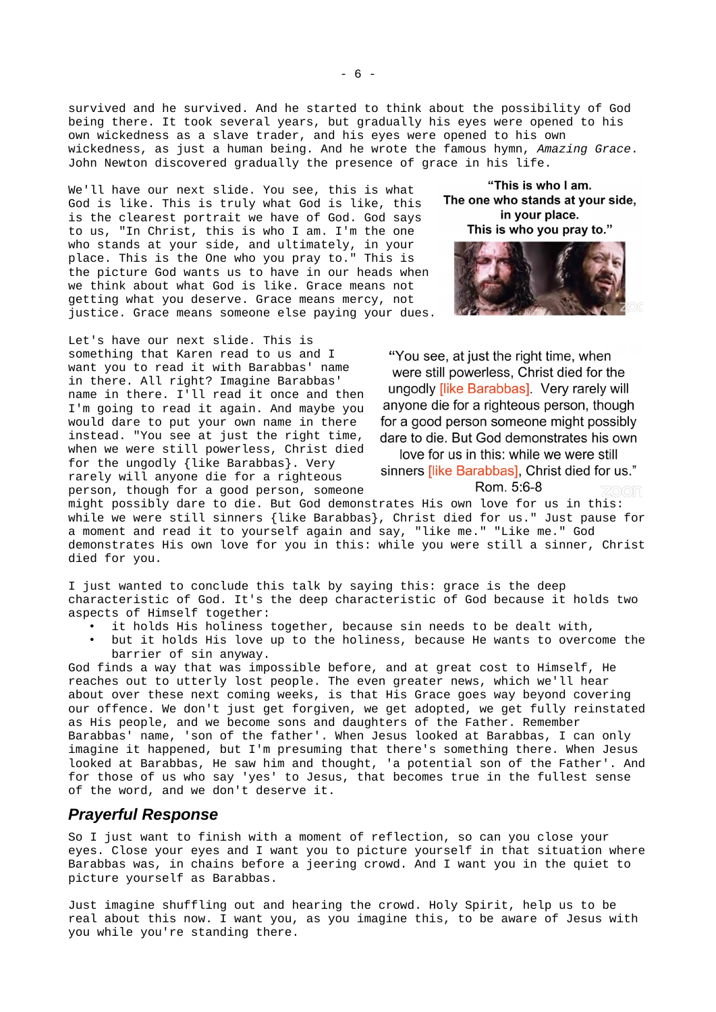survived and he survived. And he started to think about the possibility of God being there. It took several years, but gradually his eyes were opened to his own wickedness as a slave trader, and his eyes were opened to his own wickedness, as just a human being. And he wrote the famous hymn, *Amazing Grace*. John Newton discovered gradually the presence of grace in his life.

We'll have our next slide. You see, this is what God is like. This is truly what God is like, this is the clearest portrait we have of God. God says to us, "In Christ, this is who I am. I'm the one who stands at your side, and ultimately, in your place. This is the One who you pray to." This is the picture God wants us to have in our heads when we think about what God is like. Grace means not getting what you deserve. Grace means mercy, not justice. Grace means someone else paying your dues.

Let's have our next slide. This is something that Karen read to us and I want you to read it with Barabbas' name in there. All right? Imagine Barabbas' name in there. I'll read it once and then I'm going to read it again. And maybe you would dare to put your own name in there instead. "You see at just the right time, when we were still powerless, Christ died for the ungodly {like Barabbas}. Very rarely will anyone die for a righteous person, though for a good person, someone

"This is who I am. The one who stands at your side, in your place. This is who you pray to."



"You see, at just the right time, when were still powerless, Christ died for the ungodly *[like Barabbas]*. Very rarely will anyone die for a righteous person, though for a good person someone might possibly dare to die. But God demonstrates his own

love for us in this: while we were still sinners *[like Barabbas]*, Christ died for us."

Rom. 5:6-8

might possibly dare to die. But God demonstrates His own love for us in this: while we were still sinners {like Barabbas}, Christ died for us." Just pause for a moment and read it to yourself again and say, "like me." "Like me." God demonstrates His own love for you in this: while you were still a sinner, Christ died for you.

I just wanted to conclude this talk by saying this: grace is the deep characteristic of God. It's the deep characteristic of God because it holds two aspects of Himself together:

- it holds His holiness together, because sin needs to be dealt with,
- but it holds His love up to the holiness, because He wants to overcome the barrier of sin anyway.

God finds a way that was impossible before, and at great cost to Himself, He reaches out to utterly lost people. The even greater news, which we'll hear about over these next coming weeks, is that His Grace goes way beyond covering our offence. We don't just get forgiven, we get adopted, we get fully reinstated as His people, and we become sons and daughters of the Father. Remember Barabbas' name, 'son of the father'. When Jesus looked at Barabbas, I can only imagine it happened, but I'm presuming that there's something there. When Jesus looked at Barabbas, He saw him and thought, 'a potential son of the Father'. And for those of us who say 'yes' to Jesus, that becomes true in the fullest sense of the word, and we don't deserve it.

### *Prayerful Response*

So I just want to finish with a moment of reflection, so can you close your eyes. Close your eyes and I want you to picture yourself in that situation where Barabbas was, in chains before a jeering crowd. And I want you in the quiet to picture yourself as Barabbas.

Just imagine shuffling out and hearing the crowd. Holy Spirit, help us to be real about this now. I want you, as you imagine this, to be aware of Jesus with you while you're standing there.